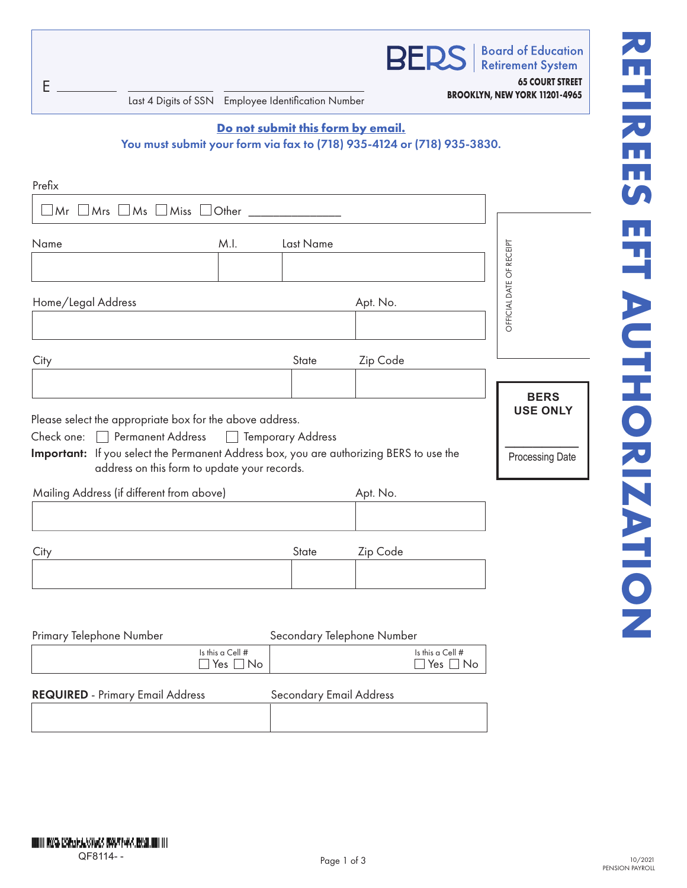| E                                       | Last 4 Digits of SSN Employee Identification Number                                                                                     |                                   |           |                                   |                                   | <b>BERS</b>   Board of Education<br><b>65 COURT STREET</b><br>BROOKLYN, NEW YORK 11201-4965 |
|-----------------------------------------|-----------------------------------------------------------------------------------------------------------------------------------------|-----------------------------------|-----------|-----------------------------------|-----------------------------------|---------------------------------------------------------------------------------------------|
|                                         | You must submit your form via fax to (718) 935-4124 or (718) 935-3830.                                                                  |                                   |           | Do not submit this form by email. |                                   |                                                                                             |
| Prefix                                  |                                                                                                                                         |                                   |           |                                   |                                   |                                                                                             |
|                                         | $\Box$ Mr $\Box$ Mrs $\Box$ Ms $\Box$ Miss $\Box$ Other _______________                                                                 |                                   |           |                                   |                                   |                                                                                             |
| Name                                    |                                                                                                                                         | M.I.                              | Last Name |                                   |                                   |                                                                                             |
| Home/Legal Address                      |                                                                                                                                         |                                   |           | Apt. No.                          |                                   | OFFICIAL DATE OF RECEIPT                                                                    |
| City                                    |                                                                                                                                         |                                   | State     | Zip Code                          |                                   |                                                                                             |
|                                         |                                                                                                                                         |                                   |           |                                   |                                   | <b>BERS</b>                                                                                 |
|                                         | Please select the appropriate box for the above address.<br>Check one: Permanent Address   Temporary Address                            |                                   |           |                                   |                                   | <b>USE ONLY</b>                                                                             |
|                                         | Important: If you select the Permanent Address box, you are authorizing BERS to use the<br>address on this form to update your records. |                                   |           |                                   |                                   | Processing Date                                                                             |
|                                         | Mailing Address (if different from above)                                                                                               |                                   |           | Apt. No.                          |                                   |                                                                                             |
| City                                    |                                                                                                                                         |                                   | State     | Zip Code                          |                                   |                                                                                             |
|                                         |                                                                                                                                         |                                   |           |                                   |                                   |                                                                                             |
|                                         |                                                                                                                                         |                                   |           |                                   |                                   |                                                                                             |
| Primary Telephone Number                | $\blacksquare$                                                                                                                          | Is this a Cell #<br>Yes $\Box$ No |           | Secondary Telephone Number        | Is this a Cell #<br>Yes $\Box$ No |                                                                                             |
| <b>REQUIRED</b> - Primary Email Address |                                                                                                                                         |                                   |           | <b>Secondary Email Address</b>    |                                   |                                                                                             |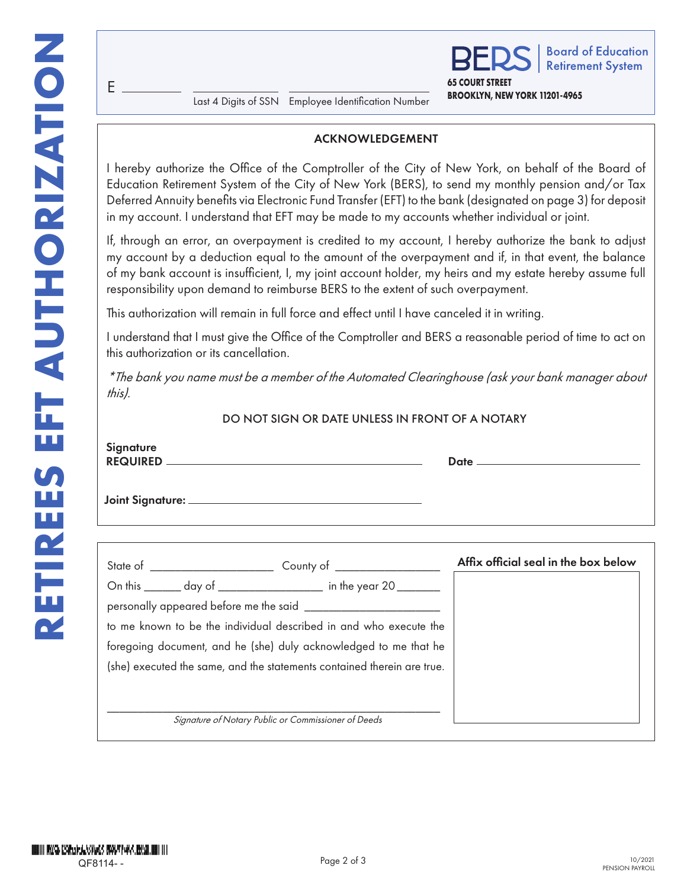E

**BROOKLYN, NEW YORK 11201-4965** Last 4 Digits of SSN Employee Identification Number

## ACKNOWLEDGEMENT

**65 COURT STREET**

**Board of Education Retirement System** 

I hereby authorize the Office of the Comptroller of the City of New York, on behalf of the Board of Education Retirement System of the City of New York (BERS), to send my monthly pension and/or Tax Deferred Annuity benefits via Electronic Fund Transfer (EFT) to the bank (designated on page 3) for deposit in my account. I understand that EFT may be made to my accounts whether individual or joint.

If, through an error, an overpayment is credited to my account, I hereby authorize the bank to adjust my account by a deduction equal to the amount of the overpayment and if, in that event, the balance of my bank account is insufficient, I, my joint account holder, my heirs and my estate hereby assume full responsibility upon demand to reimburse BERS to the extent of such overpayment.

This authorization will remain in full force and effect until I have canceled it in writing.

I understand that I must give the Office of the Comptroller and BERS a reasonable period of time to act on this authorization or its cancellation.

*\*The bank you name must be a member of the Automated Clearinghouse (ask your bank manager about this).*

## DO NOT SIGN OR DATE UNLESS IN FRONT OF A NOTARY

| Signature                                                               |                                                                  |                                      |  |  |  |
|-------------------------------------------------------------------------|------------------------------------------------------------------|--------------------------------------|--|--|--|
|                                                                         |                                                                  |                                      |  |  |  |
|                                                                         |                                                                  |                                      |  |  |  |
|                                                                         |                                                                  | Affix official seal in the box below |  |  |  |
|                                                                         | On this _______ day of __________________ in the year 20 _______ |                                      |  |  |  |
| personally appeared before me the said ________________________         |                                                                  |                                      |  |  |  |
| to me known to be the individual described in and who execute the       |                                                                  |                                      |  |  |  |
| foregoing document, and he (she) duly acknowledged to me that he        |                                                                  |                                      |  |  |  |
| (she) executed the same, and the statements contained therein are true. |                                                                  |                                      |  |  |  |
|                                                                         | Signature of Notary Public or Commissioner of Deeds              |                                      |  |  |  |